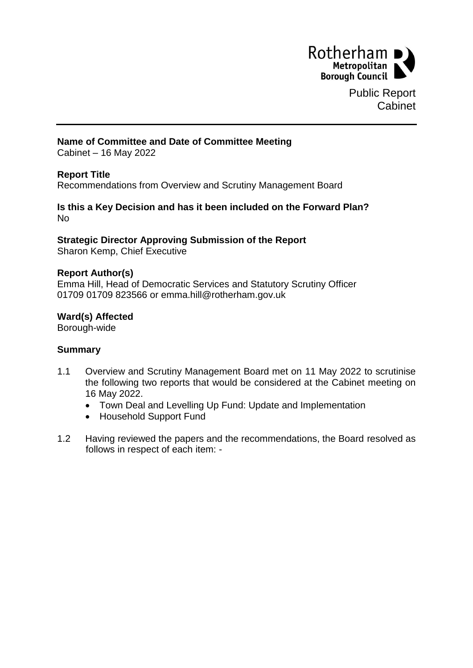

Public Report Cabinet

## **Name of Committee and Date of Committee Meeting**

Cabinet – 16 May 2022

## **Report Title**

Recommendations from Overview and Scrutiny Management Board

### **Is this a Key Decision and has it been included on the Forward Plan?** No

## **Strategic Director Approving Submission of the Report**

Sharon Kemp, Chief Executive

#### **Report Author(s)**

Emma Hill, Head of Democratic Services and Statutory Scrutiny Officer 01709 01709 823566 or emma.hill@rotherham.gov.uk

#### **Ward(s) Affected**

Borough-wide

## **Summary**

- 1.1 Overview and Scrutiny Management Board met on 11 May 2022 to scrutinise the following two reports that would be considered at the Cabinet meeting on 16 May 2022.
	- Town Deal and Levelling Up Fund: Update and Implementation
	- Household Support Fund
- 1.2 Having reviewed the papers and the recommendations, the Board resolved as follows in respect of each item: -